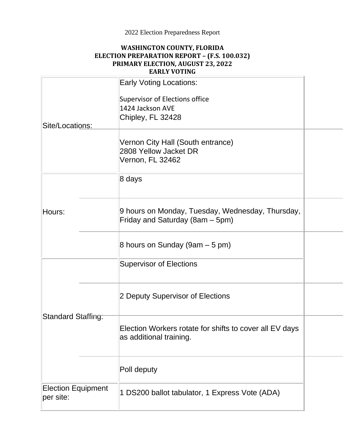## 2022 Election Preparedness Report

## **WASHINGTON COUNTY, FLORIDA ELECTION PREPARATION REPORT – (F.S. 100.032) PRIMARY ELECTION, AUGUST 23, 2022 EARLY VOTING**

| Site/Locations:                        | <b>Early Voting Locations:</b><br>Supervisor of Elections office<br>1424 Jackson AVE<br>Chipley, FL 32428 |  |
|----------------------------------------|-----------------------------------------------------------------------------------------------------------|--|
|                                        | Vernon City Hall (South entrance)<br>2808 Yellow Jacket DR<br>Vernon, FL 32462                            |  |
| Hours:                                 | 8 days                                                                                                    |  |
|                                        | 9 hours on Monday, Tuesday, Wednesday, Thursday,<br>Friday and Saturday (8am – 5pm)                       |  |
|                                        | 8 hours on Sunday (9am $-5$ pm)                                                                           |  |
|                                        | <b>Supervisor of Elections</b>                                                                            |  |
|                                        | 2 Deputy Supervisor of Elections                                                                          |  |
| <b>Standard Staffing:</b>              | Election Workers rotate for shifts to cover all EV days<br>as additional training.                        |  |
|                                        | Poll deputy                                                                                               |  |
| <b>Election Equipment</b><br>per site: | 1 DS200 ballot tabulator, 1 Express Vote (ADA)                                                            |  |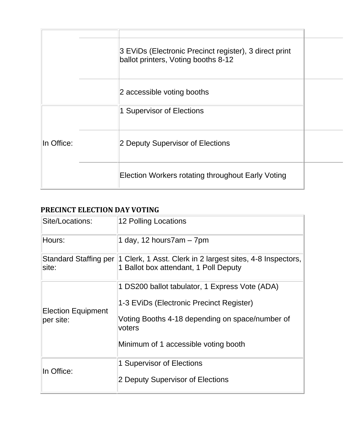|            | 3 EVIDs (Electronic Precinct register), 3 direct print<br>ballot printers, Voting booths 8-12 |  |
|------------|-----------------------------------------------------------------------------------------------|--|
|            | 2 accessible voting booths                                                                    |  |
|            | 1 Supervisor of Elections                                                                     |  |
| In Office: | 2 Deputy Supervisor of Elections                                                              |  |
|            | <b>Election Workers rotating throughout Early Voting</b>                                      |  |

## **PRECINCT ELECTION DAY VOTING**

| Site/Locations:           | 12 Polling Locations                                                                                                      |
|---------------------------|---------------------------------------------------------------------------------------------------------------------------|
| Hours:                    | 1 day, 12 hours7am $-7$ pm                                                                                                |
| site:                     | Standard Staffing per 1 Clerk, 1 Asst. Clerk in 2 largest sites, 4-8 Inspectors,<br>1 Ballot box attendant, 1 Poll Deputy |
| <b>Election Equipment</b> | 1 DS200 ballot tabulator, 1 Express Vote (ADA)<br>1-3 EViDs (Electronic Precinct Register)                                |
| per site:                 | Voting Booths 4-18 depending on space/number of<br>voters<br>Minimum of 1 accessible voting booth                         |
| lln Office:               | 1 Supervisor of Elections<br>2 Deputy Supervisor of Elections                                                             |
|                           |                                                                                                                           |